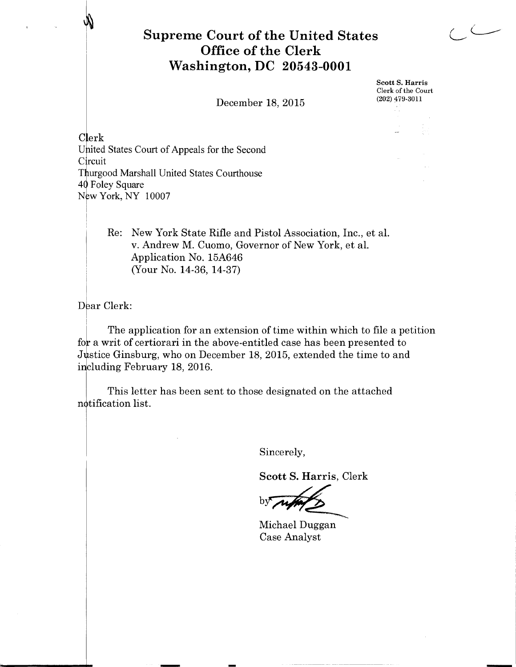## **Supreme Court of the United States Office of the Clerk Washington, DC 20543-0001**

December 18, 2015

Scott S. Harris Clerk of the Court (202) 479.3011

-

Clerk United States Court of Appeals for the Second Circuit Thurgood Marshall United States Courthouse 40 Foley Square New York, NY 10007

> Re: New York State Rifle and Pistol Association, Inc., et al. v. Andrew M. Cuomo, Governor of New York, et al. Application No. 15A646 (Your No. 14-36, 14-37)

 $\overline{\text{D}}$ ear Clerk:

The application for an extension of time within which to file a petition for a writ of certiorari in the above-entitled case has been presented to Justice Ginsburg, who on December 18, 2015, extended the time to and including February 18, 2016.

This letter has been sent to those designated on the attached notification list.

Sincerely,

Scott S. Harris, Clerk

b

Michael Duggan Case Analyst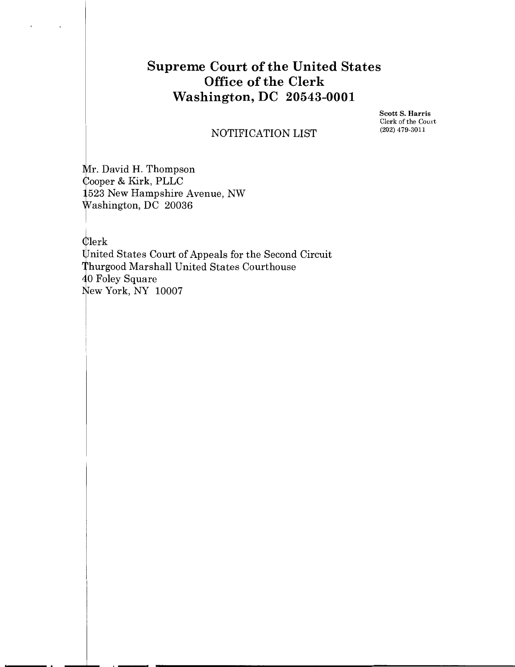## **Supreme Court of the United States Office of the Clerk Washington, DC 20543-0001**

Scott S. Harris Clerk of the Court (202) 479-3011

## NOTIFICATION LIST

Mr. David H. Thompson ooper & Kirk, PLLC 523 New Hampshire Avenue, NW ashington, DC 20036

 $\blacksquare$ 

 $\bar{t}$ 

~lerk Wnited States Court of Appeals for the Second Circuit Thurgood Marshall United States Courthouse<br>
40 Foley Square<br>
New York, NY 10007 0 Foley Square New York, NY 10007